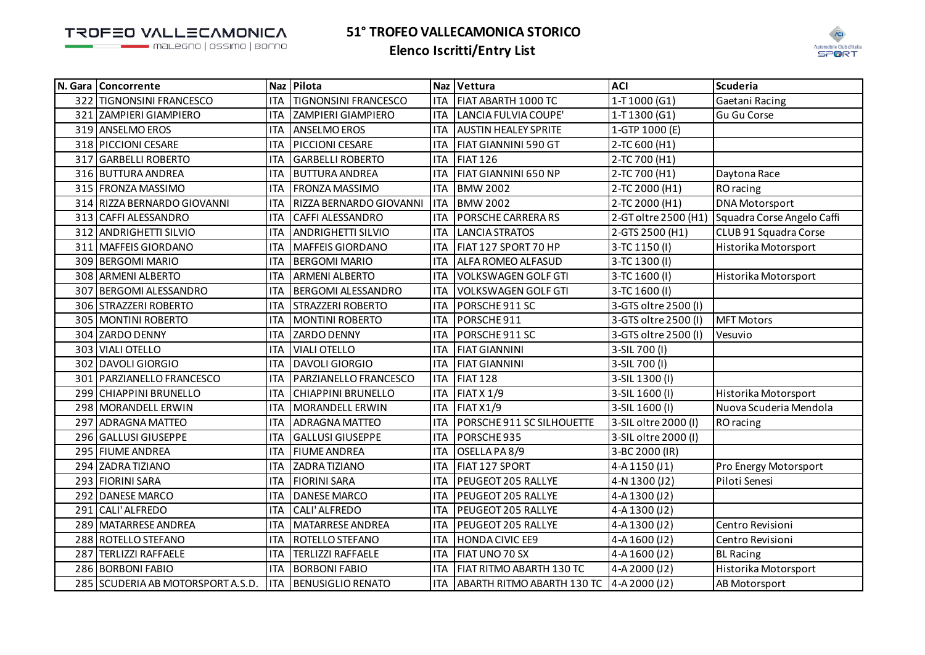TROFEO VALLECAMONICA

malegno | ossimo | borno



| N. Gara Concorrente               |            | Naz Pilota                   |            | Naz Vettura                              | <b>ACI</b>           | <b>Scuderia</b>            |
|-----------------------------------|------------|------------------------------|------------|------------------------------------------|----------------------|----------------------------|
| 322 TIGNONSINI FRANCESCO          | <b>ITA</b> | <b>TIGNONSINI FRANCESCO</b>  | <b>ITA</b> | FIAT ABARTH 1000 TC                      | 1-T1000 (G1)         | Gaetani Racing             |
| 321 ZAMPIERI GIAMPIERO            | <b>ITA</b> | <b>ZAMPIERI GIAMPIERO</b>    | <b>ITA</b> | LANCIA FULVIA COUPE'                     | 1-T1300 (G1)         | Gu Gu Corse                |
| 319 ANSELMO EROS                  | <b>ITA</b> | <b>ANSELMO EROS</b>          | <b>ITA</b> | <b>AUSTIN HEALEY SPRITE</b>              | 1-GTP 1000 (E)       |                            |
| 318 PICCIONI CESARE               | <b>ITA</b> | PICCIONI CESARE              | ITA        | <b>FIAT GIANNINI 590 GT</b>              | 2-TC 600 (H1)        |                            |
| 317 GARBELLI ROBERTO              | <b>ITA</b> | <b>GARBELLI ROBERTO</b>      | <b>ITA</b> | <b>FIAT 126</b>                          | 2-TC 700 (H1)        |                            |
| 316 BUTTURA ANDREA                | <b>ITA</b> | <b>BUTTURA ANDREA</b>        | ITA        | FIAT GIANNINI 650 NP                     | 2-TC 700 (H1)        | Daytona Race               |
| 315 FRONZA MASSIMO                | <b>ITA</b> | <b>FRONZA MASSIMO</b>        | <b>ITA</b> | <b>BMW 2002</b>                          | 2-TC 2000 (H1)       | RO racing                  |
| 314 RIZZA BERNARDO GIOVANNI       | <b>ITA</b> | RIZZA BERNARDO GIOVANNI      | <b>ITA</b> | <b>BMW 2002</b>                          | 2-TC 2000 (H1)       | <b>DNA Motorsport</b>      |
| 313 CAFFI ALESSANDRO              | <b>ITA</b> | <b>CAFFI ALESSANDRO</b>      | <b>ITA</b> | PORSCHE CARRERA RS                       | 2-GT oltre 2500 (H1) | Squadra Corse Angelo Caffi |
| 312 ANDRIGHETTI SILVIO            | <b>ITA</b> | <b>ANDRIGHETTI SILVIO</b>    | <b>ITA</b> | <b>LANCIA STRATOS</b>                    | 2-GTS 2500 (H1)      | CLUB 91 Squadra Corse      |
| 311 MAFFEIS GIORDANO              | <b>ITA</b> | <b>MAFFEIS GIORDANO</b>      | <b>ITA</b> | FIAT 127 SPORT 70 HP                     | 3-TC 1150 (I)        | Historika Motorsport       |
| 309 BERGOMI MARIO                 | <b>ITA</b> | <b>BERGOMI MARIO</b>         | <b>ITA</b> | ALFA ROMEO ALFASUD                       | 3-TC 1300 (I)        |                            |
| 308 ARMENI ALBERTO                | <b>ITA</b> | <b>ARMENI ALBERTO</b>        | <b>ITA</b> | <b>VOLKSWAGEN GOLF GTI</b>               | 3-TC 1600 (I)        | Historika Motorsport       |
| 307 BERGOMI ALESSANDRO            | <b>ITA</b> | <b>BERGOMI ALESSANDRO</b>    | <b>ITA</b> | <b>VOLKSWAGEN GOLF GTI</b>               | 3-TC 1600 (I)        |                            |
| 306 STRAZZERI ROBERTO             | <b>ITA</b> | <b>STRAZZERI ROBERTO</b>     | ITA        | PORSCHE 911 SC                           | 3-GTS oltre 2500 (I) |                            |
| 305 MONTINI ROBERTO               | <b>ITA</b> | MONTINI ROBERTO              | ITA        | PORSCHE911                               | 3-GTS oltre 2500 (I) | <b>MFT Motors</b>          |
| 304 ZARDO DENNY                   | <b>ITA</b> | <b>ZARDO DENNY</b>           | <b>ITA</b> | PORSCHE 911 SC                           | 3-GTS oltre 2500 (I) | Vesuvio                    |
| 303 VIALI OTELLO                  | <b>ITA</b> | <b>VIALI OTELLO</b>          | <b>ITA</b> | <b>FIAT GIANNINI</b>                     | 3-SIL 700 (I)        |                            |
| 302 DAVOLI GIORGIO                | <b>ITA</b> | DAVOLI GIORGIO               | <b>ITA</b> | <b>FIAT GIANNINI</b>                     | 3-SIL 700 (I)        |                            |
| 301   PARZIANELLO FRANCESCO       | <b>ITA</b> | <b>PARZIANELLO FRANCESCO</b> | <b>ITA</b> | <b>FIAT 128</b>                          | 3-SIL 1300 (I)       |                            |
| 299 CHIAPPINI BRUNELLO            | <b>ITA</b> | <b>CHIAPPINI BRUNELLO</b>    | <b>ITA</b> | <b>FIAT X 1/9</b>                        | 3-SIL 1600 (I)       | Historika Motorsport       |
| 298 MORANDELL ERWIN               | <b>ITA</b> | MORANDELL ERWIN              | <b>ITA</b> | <b>FIAT X1/9</b>                         | 3-SIL 1600 (I)       | Nuova Scuderia Mendola     |
| 297 ADRAGNA MATTEO                | <b>ITA</b> | <b>ADRAGNA MATTEO</b>        | ITA        | PORSCHE 911 SC SILHOUETTE                | 3-SIL oltre 2000 (I) | RO racing                  |
| 296 GALLUSI GIUSEPPE              | <b>ITA</b> | <b>GALLUSI GIUSEPPE</b>      | <b>ITA</b> | PORSCHE935                               | 3-SIL oltre 2000 (I) |                            |
| 295 FIUME ANDREA                  | <b>ITA</b> | <b>FIUME ANDREA</b>          | ITA        | OSELLA PA 8/9                            | 3-BC 2000 (IR)       |                            |
| 294 ZADRA TIZIANO                 | <b>ITA</b> | ZADRATIZIANO                 | <b>ITA</b> | FIAT 127 SPORT                           | 4-A1150(J1)          | Pro Energy Motorsport      |
| 293 FIORINI SARA                  | <b>ITA</b> | <b>FIORINI SARA</b>          | <b>ITA</b> | PEUGEOT 205 RALLYE                       | 4-N 1300 (J2)        | Piloti Senesi              |
| 292 DANESE MARCO                  | <b>ITA</b> | <b>DANESE MARCO</b>          | <b>ITA</b> | PEUGEOT 205 RALLYE                       | 4-A 1300 (J2)        |                            |
| 291 CALI' ALFREDO                 | <b>ITA</b> | CALI' ALFREDO                | <b>ITA</b> | PEUGEOT 205 RALLYE                       | 4-A1300 (J2)         |                            |
| 289 MATARRESE ANDREA              | <b>ITA</b> | MATARRESE ANDREA             | <b>ITA</b> | PEUGEOT 205 RALLYE                       | 4-A1300 (J2)         | Centro Revisioni           |
| 288 ROTELLO STEFANO               | <b>ITA</b> | <b>ROTELLO STEFANO</b>       | <b>ITA</b> | <b>HONDA CIVIC EE9</b>                   | 4-A 1600 (J2)        | Centro Revisioni           |
| 287 TERLIZZI RAFFAELE             | <b>ITA</b> | <b>TERLIZZI RAFFAELE</b>     | ITA        | FIAT UNO 70 SX                           | 4-A 1600 (J2)        | <b>BL Racing</b>           |
| 286 BORBONI FABIO                 | <b>ITA</b> | <b>BORBONI FABIO</b>         | <b>ITA</b> | FIAT RITMO ABARTH 130 TC                 | 4-A 2000 (J2)        | Historika Motorsport       |
| 285 SCUDERIA AB MOTORSPORT A.S.D. | <b>ITA</b> | <b>BENUSIGLIO RENATO</b>     | ITA        | ABARTH RITMO ABARTH 130 TC 4-A 2000 (J2) |                      | AB Motorsport              |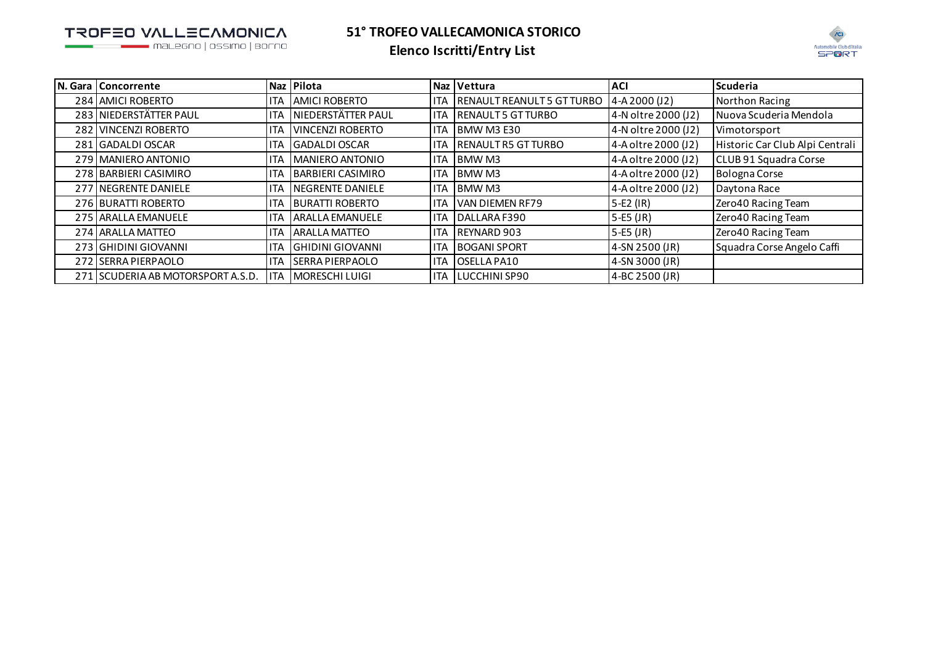TROFEO VALLECAMONICA

maLegno | ossimo | borno



| N. Gara   Concorrente             |            | Naz Pilota               |            | Naz Vettura                       | <b>ACI</b>          | <b>Scuderia</b>                 |
|-----------------------------------|------------|--------------------------|------------|-----------------------------------|---------------------|---------------------------------|
| 284 AMICI ROBERTO                 | <b>ITA</b> | <b>AMICI ROBERTO</b>     |            | <b>RENAULT REANULT 5 GT TURBO</b> | 4-A 2000 (J2)       | Northon Racing                  |
| 283 NIEDERSTÄTTER PAUL            | <b>ITA</b> | NIEDERSTÄTTER PAUL       | ITA        | <b>RENAULT 5 GT TURBO</b>         | 4-N oltre 2000 (J2) | Nuova Scuderia Mendola          |
| 282 VINCENZI ROBERTO              | <b>ITA</b> | <b>IVINCENZI ROBERTO</b> |            | BMW M3 E30                        | 4-N oltre 2000 (J2) | Vimotorsport                    |
| 281 GADALDI OSCAR                 | ITA        | <b>GADALDI OSCAR</b>     |            | <b>RENAULT R5 GT TURBO</b>        | 4-A oltre 2000 (J2) | Historic Car Club Alpi Centrali |
| 279 MANIERO ANTONIO               | ITA        | MANIERO ANTONIO          | ITA        | <b>IBMW M3</b>                    | 4-A oltre 2000 (J2) | CLUB 91 Squadra Corse           |
| 278 BARBIERI CASIMIRO             | <b>ITA</b> | <b>BARBIERI CASIMIRO</b> | <b>ITA</b> | <b>BMW M3</b>                     | 4-A oltre 2000 (J2) | <b>Bologna Corse</b>            |
| 277 NEGRENTE DANIELE              | ITA        | NEGRENTE DANIELE         |            | <b>BMW M3</b>                     | 4-A oltre 2000 (J2) | Daytona Race                    |
| 276 BURATTI ROBERTO               | <b>ITA</b> | <b>BURATTI ROBERTO</b>   | <b>ITA</b> | VAN DIEMEN RF79                   | 5-E2 (IR)           | Zero40 Racing Team              |
| 275 ARALLA EMANUELE               | ITA        | <b>ARALLA EMANUELE</b>   | <b>ITA</b> | DALLARA F390                      | $5-E5$ (JR)         | Zero40 Racing Team              |
| 274 ARALLA MATTEO                 | ITA        | <b>ARALLA MATTEO</b>     |            | REYNARD 903                       | $5-E5$ (JR)         | Zero40 Racing Team              |
| 273 GHIDINI GIOVANNI              | ITA        | <b>GHIDINI GIOVANNI</b>  | <b>ITA</b> | <b>BOGANI SPORT</b>               | 4-SN 2500 (JR)      | Squadra Corse Angelo Caffi      |
| 272 SERRA PIERPAOLO               | ITA        | <b>SERRA PIERPAOLO</b>   | <b>ITA</b> | OSELLA PA10                       | 4-SN 3000 (JR)      |                                 |
| 271 SCUDERIA AB MOTORSPORT A.S.D. | <b>ITA</b> | <b>MORESCHI LUIGI</b>    |            | ITA LUCCHINI SP90                 | 4-BC 2500 (JR)      |                                 |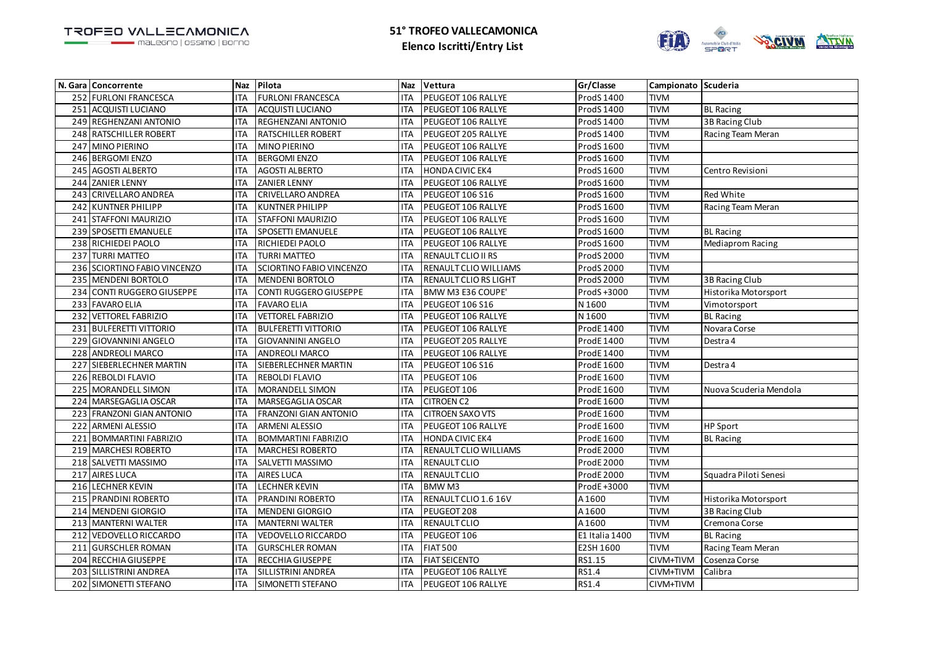

|     | N. Gara   Concorrente         | Naz        | Pilota                       |            | Naz Vettura               | Gr/Classe         | Campionato Scuderia |                        |
|-----|-------------------------------|------------|------------------------------|------------|---------------------------|-------------------|---------------------|------------------------|
|     | 252 FURLONI FRANCESCA         | <b>ITA</b> | <b>FURLONI FRANCESCA</b>     | <b>ITA</b> | PEUGEOT 106 RALLYE        | ProdS 1400        | <b>TIVM</b>         |                        |
|     | 251 ACQUISTI LUCIANO          | <b>ITA</b> | <b>ACQUISTI LUCIANO</b>      | <b>ITA</b> | PEUGEOT 106 RALLYE        | ProdS 1400        | <b>TIVM</b>         | <b>BL Racing</b>       |
|     | 249 REGHENZANI ANTONIO        | <b>ITA</b> | REGHENZANI ANTONIO           | <b>ITA</b> | PEUGEOT 106 RALLYE        | ProdS 1400        | <b>TIVM</b>         | 3B Racing Club         |
|     | 248 RATSCHILLER ROBERT        | <b>ITA</b> | <b>RATSCHILLER ROBERT</b>    | <b>ITA</b> | PEUGEOT 205 RALLYE        | ProdS 1400        | <b>TIVM</b>         | Racing Team Meran      |
|     | 247 MINO PIERINO              | <b>ITA</b> | MINO PIERINO                 | <b>ITA</b> | PEUGEOT 106 RALLYE        | ProdS 1600        | <b>TIVM</b>         |                        |
|     | 246 BERGOMI ENZO              | <b>ITA</b> | <b>BERGOMI ENZO</b>          | <b>ITA</b> | PEUGEOT 106 RALLYE        | ProdS 1600        | <b>TIVM</b>         |                        |
| 245 | <b>AGOSTI ALBERTO</b>         | <b>ITA</b> | <b>AGOSTI ALBERTO</b>        | <b>ITA</b> | <b>HONDA CIVIC EK4</b>    | ProdS 1600        | <b>TIVM</b>         | Centro Revisioni       |
|     | 244 ZANIER LENNY              | <b>ITA</b> | <b>ZANIER LENNY</b>          | ITA        | PEUGEOT 106 RALLYE        | ProdS 1600        | <b>TIVM</b>         |                        |
| 243 | CRIVELLARO ANDREA             | <b>ITA</b> | CRIVELLARO ANDREA            | <b>ITA</b> | PEUGEOT 106 S16           | ProdS 1600        | <b>TIVM</b>         | Red White              |
|     | 242 KUNTNER PHILIPP           | <b>ITA</b> | <b>KUNTNER PHILIPP</b>       | <b>ITA</b> | PEUGEOT 106 RALLYE        | ProdS 1600        | <b>TIVM</b>         | Racing Team Meran      |
|     | 241 STAFFONI MAURIZIO         | <b>ITA</b> | STAFFONI MAURIZIO            | <b>ITA</b> | PEUGEOT 106 RALLYE        | ProdS 1600        | <b>TIVM</b>         |                        |
|     | 239 SPOSETTI EMANUELE         | <b>ITA</b> | SPOSETTI EMANUELE            | <b>ITA</b> | PEUGEOT 106 RALLYE        | ProdS 1600        | <b>TIVM</b>         | <b>BL Racing</b>       |
|     | 238 RICHIEDEI PAOLO           | <b>ITA</b> | RICHIEDEI PAOLO              | <b>ITA</b> | PEUGEOT 106 RALLYE        | ProdS 1600        | <b>TIVM</b>         | Mediaprom Racing       |
|     | 237 TURRI MATTEO              | <b>ITA</b> | <b>TURRI MATTEO</b>          | <b>ITA</b> | RENAULT CLIO II RS        | <b>ProdS 2000</b> | <b>TIVM</b>         |                        |
|     | 236 SCIORTINO FABIO VINCENZO  | <b>ITA</b> | SCIORTINO FABIO VINCENZO     | <b>ITA</b> | RENAULT CLIO WILLIAMS     | ProdS 2000        | <b>TIVM</b>         |                        |
| 235 | MENDENI BORTOLO               | <b>ITA</b> | <b>MENDENI BORTOLO</b>       | <b>ITA</b> | RENAULT CLIO RS LIGHT     | ProdS 2000        | <b>TIVM</b>         | 3B Racing Club         |
| 234 | <b>CONTI RUGGERO GIUSEPPE</b> | <b>ITA</b> | CONTI RUGGERO GIUSEPPE       | <b>ITA</b> | BMW M3 E36 COUPE'         | ProdS +3000       | <b>TIVM</b>         | Historika Motorsport   |
|     | 233 FAVARO ELIA               | <b>ITA</b> | <b>FAVARO ELIA</b>           | <b>ITA</b> | PEUGEOT 106 S16           | N 1600            | <b>TIVM</b>         | Vimotorsport           |
|     | 232 VETTOREL FABRIZIO         | <b>ITA</b> | <b>VETTOREL FABRIZIO</b>     | <b>ITA</b> | PEUGEOT 106 RALLYE        | N 1600            | <b>TIVM</b>         | <b>BL Racing</b>       |
|     | 231 BULFERETTI VITTORIO       | <b>ITA</b> | <b>BULFERETTI VITTORIO</b>   | <b>ITA</b> | PEUGEOT 106 RALLYE        | ProdE 1400        | <b>TIVM</b>         | Novara Corse           |
|     | 229 GIOVANNINI ANGELO         | <b>ITA</b> | GIOVANNINI ANGELO            | <b>ITA</b> | PEUGEOT 205 RALLYE        | ProdE 1400        | <b>TIVM</b>         | Destra 4               |
|     | 228 ANDREOLI MARCO            | <b>ITA</b> | ANDREOLI MARCO               | <b>ITA</b> | PEUGEOT 106 RALLYE        | ProdE 1400        | <b>TIVM</b>         |                        |
|     | 227 SIEBERLECHNER MARTIN      | <b>ITA</b> | SIEBERLECHNER MARTIN         | <b>ITA</b> | PEUGEOT 106 S16           | ProdE 1600        | <b>TIVM</b>         | Destra 4               |
| 226 | REBOLDI FLAVIO                | <b>ITA</b> | REBOLDI FLAVIO               | <b>ITA</b> | PEUGEOT 106               | ProdE 1600        | <b>TIVM</b>         |                        |
|     | 225 MORANDELL SIMON           | <b>ITA</b> | MORANDELL SIMON              | <b>ITA</b> | PEUGEOT 106               | ProdE 1600        | <b>TIVM</b>         | Nuova Scuderia Mendola |
|     | 224 MARSEGAGLIA OSCAR         | <b>ITA</b> | MARSEGAGLIA OSCAR            | <b>ITA</b> | <b>CITROEN C2</b>         | ProdE 1600        | <b>TIVM</b>         |                        |
|     | 223 FRANZONI GIAN ANTONIO     | <b>ITA</b> | <b>FRANZONI GIAN ANTONIO</b> | <b>ITA</b> | <b>CITROEN SAXO VTS</b>   | <b>ProdE1600</b>  | <b>TIVM</b>         |                        |
| 222 | <b>ARMENI ALESSIO</b>         | <b>ITA</b> | ARMENI ALESSIO               | <b>ITA</b> | <b>PEUGEOT 106 RALLYE</b> | ProdE 1600        | <b>TIVM</b>         | <b>HP Sport</b>        |
|     | 221 BOMMARTINI FABRIZIO       | <b>ITA</b> | <b>BOMMARTINI FABRIZIO</b>   | <b>ITA</b> | <b>HONDA CIVIC EK4</b>    | ProdE 1600        | <b>TIVM</b>         | <b>BL Racing</b>       |
|     | 219 MARCHESI ROBERTO          | <b>ITA</b> | <b>MARCHESI ROBERTO</b>      | <b>ITA</b> | RENAULT CLIO WILLIAMS     | <b>ProdE 2000</b> | <b>TIVM</b>         |                        |
|     | 218 SALVETTI MASSIMO          | <b>ITA</b> | SALVETTI MASSIMO             | <b>ITA</b> | RENAULT CLIO              | ProdE 2000        | <b>TIVM</b>         |                        |
|     | 217 AIRES LUCA                | <b>ITA</b> | AIRES LUCA                   | <b>ITA</b> | RENAULT CLIO              | <b>ProdE 2000</b> | <b>TIVM</b>         | Squadra Piloti Senesi  |
| 216 | <b>LECHNER KEVIN</b>          | <b>ITA</b> | <b>LECHNER KEVIN</b>         | <b>ITA</b> | <b>BMWM3</b>              | ProdE+3000        | <b>TIVM</b>         |                        |
|     | 215 PRANDINI ROBERTO          | <b>ITA</b> | PRANDINI ROBERTO             | <b>ITA</b> | RENAULT CLIO 1.6 16V      | A1600             | <b>TIVM</b>         | Historika Motorsport   |
|     | 214 MENDENI GIORGIO           | <b>ITA</b> | <b>MENDENI GIORGIO</b>       | <b>ITA</b> | PEUGEOT 208               | A1600             | <b>TIVM</b>         | 3B Racing Club         |
|     | 213 MANTERNI WALTER           | <b>ITA</b> | <b>MANTERNI WALTER</b>       | <b>ITA</b> | <b>RENAULT CLIO</b>       | A1600             | <b>TIVM</b>         | Cremona Corse          |
| 212 | <b>VEDOVELLO RICCARDO</b>     | <b>ITA</b> | <b>VEDOVELLO RICCARDO</b>    | <b>ITA</b> | PEUGEOT 106               | E1 Italia 1400    | <b>TIVM</b>         | <b>BL Racing</b>       |
|     | 211 GURSCHLER ROMAN           | <b>ITA</b> | <b>GURSCHLER ROMAN</b>       | <b>ITA</b> | <b>FIAT 500</b>           | E2SH 1600         | <b>TIVM</b>         | Racing Team Meran      |
|     | 204 RECCHIA GIUSEPPE          | <b>ITA</b> | RECCHIA GIUSEPPE             | <b>ITA</b> | <b>FIAT SEICENTO</b>      | RS1.15            | CIVM+TIVM           | Cosenza Corse          |
| 203 | SILLISTRINI ANDREA            | <b>ITA</b> | SILLISTRINI ANDREA           | <b>ITA</b> | PEUGEOT 106 RALLYE        | RS1.4             | CIVM+TIVM           | Calibra                |
|     | 202 SIMONETTI STEFANO         | <b>ITA</b> | SIMONETTI STEFANO            | <b>ITA</b> | PEUGEOT 106 RALLYE        | RS1.4             | CIVM+TIVM           |                        |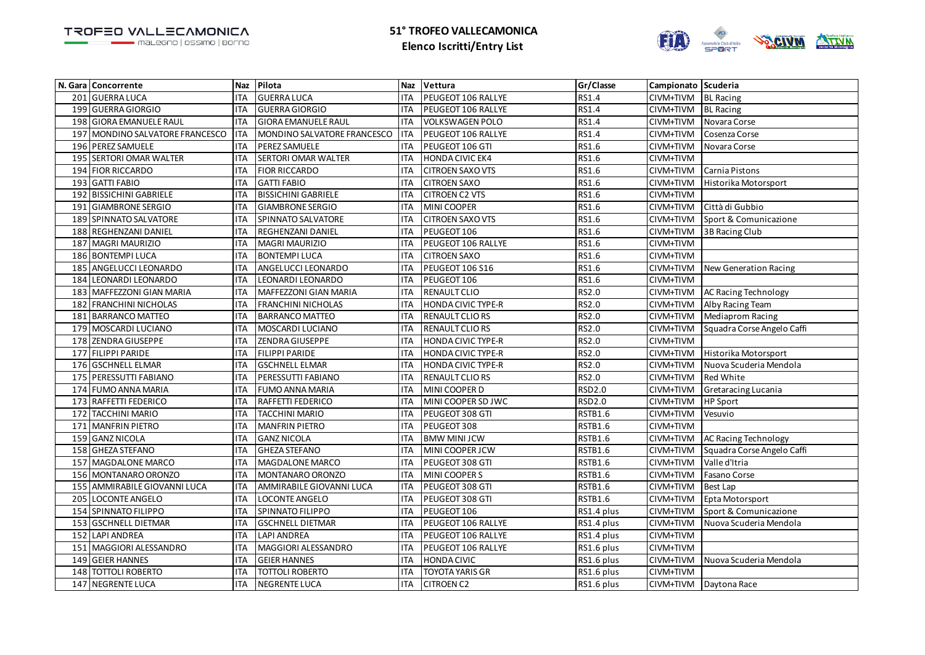

|     | N. Gara Concorrente             | <b>Naz</b> | Pilota                      | <b>Naz</b> | Vettura                   | Gr/Classe      | Campionato Scuderia |                              |
|-----|---------------------------------|------------|-----------------------------|------------|---------------------------|----------------|---------------------|------------------------------|
|     | 201 GUERRA LUCA                 | <b>ITA</b> | <b>GUERRA LUCA</b>          | <b>ITA</b> | PEUGEOT 106 RALLYE        | RS1.4          | CIVM+TIVM           | <b>BL</b> Racing             |
|     | 199 GUERRA GIORGIO              | <b>ITA</b> | <b>GUERRA GIORGIO</b>       | <b>ITA</b> | PEUGEOT 106 RALLYE        | RS1.4          | CIVM+TIVM           | <b>BL Racing</b>             |
| 198 | <b>GIORA EMANUELE RAUL</b>      | <b>ITA</b> | <b>GIORA EMANUELE RAUL</b>  | <b>ITA</b> | <b>VOLKSWAGEN POLO</b>    | RS1.4          | CIVM+TIVM           | Novara Corse                 |
|     | 197 MONDINO SALVATORE FRANCESCO | <b>ITA</b> | MONDINO SALVATORE FRANCESCO | <b>ITA</b> | PEUGEOT 106 RALLYE        | RS1.4          | CIVM+TIVM           | Cosenza Corse                |
|     | 196 PEREZ SAMUELE               | <b>ITA</b> | PEREZ SAMUELE               | <b>ITA</b> | PEUGEOT 106 GTI           | RS1.6          | CIVM+TIVM           | Novara Corse                 |
|     | 195 SERTORI OMAR WALTER         | <b>ITA</b> | SERTORI OMAR WALTER         | <b>ITA</b> | <b>HONDA CIVIC EK4</b>    | RS1.6          | CIVM+TIVM           |                              |
| 194 | <b>FIOR RICCARDO</b>            | <b>ITA</b> | <b>FIOR RICCARDO</b>        | <b>ITA</b> | <b>CITROEN SAXO VTS</b>   | RS1.6          | CIVM+TIVM           | Carnia Pistons               |
|     | 193 GATTI FABIO                 | <b>ITA</b> | <b>GATTI FABIO</b>          | <b>ITA</b> | <b>CITROEN SAXO</b>       | RS1.6          | CIVM+TIVM           | Historika Motorsport         |
| 192 | <b>BISSICHINI GABRIELE</b>      | <b>ITA</b> | <b>BISSICHINI GABRIELE</b>  | <b>ITA</b> | <b>CITROEN C2 VTS</b>     | RS1.6          | CIVM+TIVM           |                              |
|     | 191 GIAMBRONE SERGIO            | <b>ITA</b> | <b>GIAMBRONE SERGIO</b>     | <b>ITA</b> | <b>MINI COOPER</b>        | RS1.6          | CIVM+TIVM           | Città di Gubbio              |
| 189 | SPINNATO SALVATORE              | <b>ITA</b> | SPINNATO SALVATORE          | <b>ITA</b> | <b>CITROEN SAXO VTS</b>   | RS1.6          | CIVM+TIVM           | Sport & Comunicazione        |
|     | 188 REGHENZANI DANIEL           | <b>ITA</b> | REGHENZANI DANIEL           | <b>ITA</b> | PEUGEOT 106               | RS1.6          | CIVM+TIVM           | 3B Racing Club               |
| 187 | <b>MAGRI MAURIZIO</b>           | <b>ITA</b> | MAGRI MAURIZIO              | <b>ITA</b> | PEUGEOT 106 RALLYE        | RS1.6          | CIVM+TIVM           |                              |
|     | 186 BONTEMPI LUCA               | <b>ITA</b> | <b>BONTEMPI LUCA</b>        | <b>ITA</b> | <b>CITROEN SAXO</b>       | RS1.6          | CIVM+TIVM           |                              |
|     | 185 ANGELUCCI LEONARDO          | <b>ITA</b> | ANGELUCCI LEONARDO          | <b>ITA</b> | PEUGEOT 106 S16           | RS1.6          | CIVM+TIVM           | <b>New Generation Racing</b> |
| 184 | LEONARDI LEONARDO               | <b>ITA</b> | LEONARDI LEONARDO           | <b>ITA</b> | PEUGEOT 106               | RS1.6          | CIVM+TIVM           |                              |
| 183 | MAFFEZZONI GIAN MARIA           | <b>ITA</b> | MAFFEZZONI GIAN MARIA       | <b>ITA</b> | RENAULT CLIO              | RS2.0          | CIVM+TIVM           | AC Racing Technology         |
| 182 | <b>FRANCHINI NICHOLAS</b>       | <b>ITA</b> | FRANCHINI NICHOLAS          | <b>ITA</b> | HONDA CIVIC TYPE-R        | RS2.0          | CIVM+TIVM           | Alby Racing Team             |
|     | 181 BARRANCO MATTEO             | <b>ITA</b> | <b>BARRANCO MATTEO</b>      | <b>ITA</b> | <b>RENAULT CLIO RS</b>    | RS2.0          | CIVM+TIVM           | <b>Mediaprom Racing</b>      |
| 179 | MOSCARDI LUCIANO                | <b>ITA</b> | MOSCARDI LUCIANO            | <b>ITA</b> | RENAULT CLIO RS           | RS2.0          | CIVM+TIVM           | Squadra Corse Angelo Caffi   |
| 178 | <b>ZENDRA GIUSEPPE</b>          | <b>ITA</b> | ZENDRA GIUSEPPE             | <b>ITA</b> | <b>HONDA CIVIC TYPE-R</b> | RS2.0          | CIVM+TIVM           |                              |
| 177 | <b>FILIPPI PARIDE</b>           | <b>ITA</b> | FILIPPI PARIDE              | <b>ITA</b> | HONDA CIVIC TYPE-R        | RS2.0          | CIVM+TIVM           | Historika Motorsport         |
|     | 176 GSCHNELL ELMAR              | <b>ITA</b> | <b>GSCHNELL ELMAR</b>       | <b>ITA</b> | <b>HONDA CIVIC TYPE-R</b> | RS2.0          | CIVM+TIVM           | Nuova Scuderia Mendola       |
| 175 | PERESSUTTI FABIANO              | <b>ITA</b> | PERESSUTTI FABIANO          | <b>ITA</b> | RENAULT CLIO RS           | RS2.0          | CIVM+TIVM           | Red White                    |
| 174 | <b>FUMO ANNA MARIA</b>          | <b>ITA</b> | <b>FUMO ANNA MARIA</b>      | <b>ITA</b> | MINI COOPER D             | RSD2.0         | CIVM+TIVM           | Gretaracing Lucania          |
| 173 | <b>RAFFETTI FEDERICO</b>        | <b>ITA</b> | RAFFETTI FEDERICO           | <b>ITA</b> | MINI COOPER SD JWC        | RSD2.0         | CIVM+TIVM           | HP Sport                     |
|     | 172 TACCHINI MARIO              | <b>ITA</b> | <b>TACCHINI MARIO</b>       | <b>ITA</b> | PEUGEOT 308 GTI           | RSTB1.6        | CIVM+TIVM           | Vesuvio                      |
| 171 | <b>MANFRIN PIETRO</b>           | <b>ITA</b> | <b>MANFRIN PIETRO</b>       | <b>ITA</b> | PEUGEOT 308               | RSTB1.6        | CIVM+TIVM           |                              |
| 159 | <b>GANZ NICOLA</b>              | <b>ITA</b> | <b>GANZ NICOLA</b>          | <b>ITA</b> | <b>BMW MINI JCW</b>       | RSTB1.6        | CIVM+TIVM           | AC Racing Technology         |
|     | 158 GHEZA STEFANO               | <b>ITA</b> | <b>GHEZA STEFANO</b>        | <b>ITA</b> | MINI COOPER JCW           | RSTB1.6        | CIVM+TIVM           | Squadra Corse Angelo Caffi   |
| 157 | MAGDALONE MARCO                 | <b>ITA</b> | MAGDALONE MARCO             | <b>ITA</b> | PEUGEOT 308 GTI           | RSTB1.6        | CIVM+TIVM           | Valle d'Itria                |
|     | 156 MONTANARO ORONZO            | <b>ITA</b> | MONTANARO ORONZO            | <b>ITA</b> | MINI COOPER S             | <b>RSTB1.6</b> | CIVM+TIVM           | Fasano Corse                 |
| 155 | AMMIRABILE GIOVANNI LUCA        | <b>ITA</b> | AMMIRABILE GIOVANNI LUCA    | <b>ITA</b> | PEUGEOT 308 GTI           | RSTB1.6        | CIVM+TIVM           | <b>Best Lap</b>              |
| 205 | <b>LOCONTE ANGELO</b>           | <b>ITA</b> | <b>LOCONTE ANGELO</b>       | <b>ITA</b> | PEUGEOT 308 GTI           | RSTB1.6        | CIVM+TIVM           | Epta Motorsport              |
| 154 | SPINNATO FILIPPO                | <b>ITA</b> | SPINNATO FILIPPO            | <b>ITA</b> | PEUGEOT 106               | RS1.4 plus     | CIVM+TIVM           | Sport & Comunicazione        |
|     | 153 GSCHNELL DIETMAR            | <b>ITA</b> | <b>GSCHNELL DIETMAR</b>     | <b>ITA</b> | PEUGEOT 106 RALLYE        | RS1.4 plus     | CIVM+TIVM           | Nuova Scuderia Mendola       |
| 152 | <b>LAPI ANDREA</b>              | <b>ITA</b> | <b>LAPI ANDREA</b>          | <b>ITA</b> | PEUGEOT 106 RALLYE        | RS1.4 plus     | CIVM+TIVM           |                              |
| 151 | MAGGIORI ALESSANDRO             | <b>ITA</b> | MAGGIORI ALESSANDRO         | <b>ITA</b> | PEUGEOT 106 RALLYE        | RS1.6 plus     | CIVM+TIVM           |                              |
| 149 | <b>GEIER HANNES</b>             | <b>ITA</b> | <b>GEIER HANNES</b>         | <b>ITA</b> | <b>HONDA CIVIC</b>        | RS1.6 plus     | CIVM+TIVM           | Nuova Scuderia Mendola       |
| 148 | <b>TOTTOLI ROBERTO</b>          | <b>ITA</b> | <b>TOTTOLI ROBERTO</b>      | <b>ITA</b> | <b>TOYOTA YARIS GR</b>    | RS1.6 plus     | CIVM+TIVM           |                              |
|     | 147 NEGRENTE LUCA               | <b>ITA</b> | <b>NEGRENTE LUCA</b>        | <b>ITA</b> | <b>CITROEN C2</b>         | RS1.6 plus     |                     | CIVM+TIVM   Daytona Race     |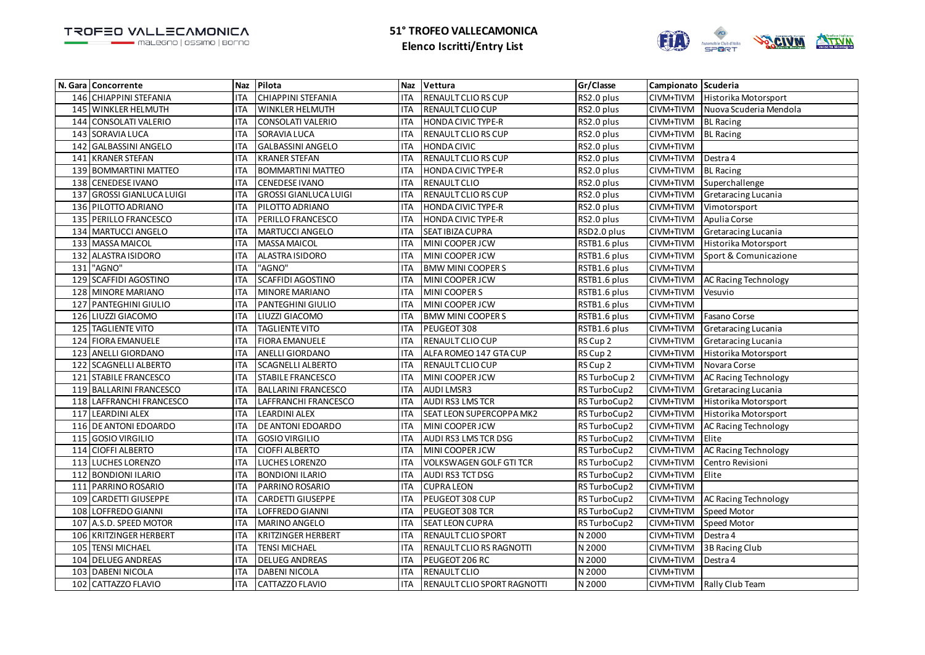

|     | N. Gara Concorrente          |            | Naz Pilota                   |            | Naz Vettura                    | Gr/Classe     | Campionato Scuderia |                             |
|-----|------------------------------|------------|------------------------------|------------|--------------------------------|---------------|---------------------|-----------------------------|
|     | 146 CHIAPPINI STEFANIA       | <b>ITA</b> | <b>CHIAPPINI STEFANIA</b>    | <b>ITA</b> | RENAULT CLIO RS CUP            | RS2.0 plus    | CIVM+TIVM           | Historika Motorsport        |
| 145 | WINKLER HELMUTH              | <b>ITA</b> | WINKLER HELMUTH              | <b>ITA</b> | RENAULT CLIO CUP               | RS2.0 plus    | CIVM+TIVM           | Nuova Scuderia Mendola      |
| 144 | <b>CONSOLATI VALERIO</b>     | <b>ITA</b> | CONSOLATI VALERIO            | <b>ITA</b> | <b>HONDA CIVIC TYPE-R</b>      | RS2.0 plus    | CIVM+TIVM           | <b>BL Racing</b>            |
|     | 143 SORAVIA LUCA             | <b>ITA</b> | SORAVIA LUCA                 | <b>ITA</b> | RENAULT CLIO RS CUP            | RS2.0 plus    | CIVM+TIVM           | <b>BL</b> Racing            |
| 142 | <b>GALBASSINI ANGELO</b>     | <b>ITA</b> | <b>GALBASSINI ANGELO</b>     | <b>ITA</b> | <b>HONDA CIVIC</b>             | RS2.0 plus    | CIVM+TIVM           |                             |
| 141 | <b>KRANER STEFAN</b>         | <b>ITA</b> | <b>KRANER STEFAN</b>         | <b>ITA</b> | RENAULT CLIO RS CUP            | RS2.0 plus    | CIVM+TIVM           | Destra 4                    |
| 139 | <b>BOMMARTINI MATTEO</b>     | <b>ITA</b> | <b>BOMMARTINI MATTEO</b>     | <b>ITA</b> | HONDA CIVIC TYPE-R             | RS2.0 plus    | CIVM+TIVM           | <b>BL Racing</b>            |
| 138 | <b>CENEDESE IVANO</b>        | <b>ITA</b> | CENEDESE IVANO               | <b>ITA</b> | RENAULT CLIO                   | RS2.0 plus    | CIVM+TIVM           | Superchallenge              |
| 137 | <b>GROSSI GIANLUCA LUIGI</b> | <b>ITA</b> | <b>GROSSI GIANLUCA LUIGI</b> | <b>ITA</b> | RENAULT CLIO RS CUP            | RS2.0 plus    | CIVM+TIVM           | Gretaracing Lucania         |
|     | 136 PILOTTO ADRIANO          | <b>ITA</b> | PILOTTO ADRIANO              | <b>ITA</b> | <b>HONDA CIVIC TYPE-R</b>      | RS2.0 plus    | CIVM+TIVM           | Vimotorsport                |
| 135 | PERILLO FRANCESCO            | <b>ITA</b> | PERILLO FRANCESCO            | <b>ITA</b> | HONDA CIVIC TYPE-R             | RS2.0 plus    | CIVM+TIVM           | Apulia Corse                |
| 134 | <b>MARTUCCI ANGELO</b>       | <b>ITA</b> | <b>MARTUCCI ANGELO</b>       | <b>ITA</b> | SEAT IBIZA CUPRA               | RSD2.0 plus   | CIVM+TIVM           | Gretaracing Lucania         |
|     | 133 MASSA MAICOL             | <b>ITA</b> | MASSA MAICOL                 | <b>ITA</b> | MINI COOPER JCW                | RSTB1.6 plus  | CIVM+TIVM           | Historika Motorsport        |
| 132 | ALASTRA ISIDORO              | <b>ITA</b> | <b>ALASTRA ISIDORO</b>       | <b>ITA</b> | MINI COOPER JCW                | RSTB1.6 plus  | CIVM+TIVM           | Sport & Comunicazione       |
| 131 | "AGNO"                       | <b>ITA</b> | 'AGNO"                       | <b>ITA</b> | <b>BMW MINI COOPER S</b>       | RSTB1.6 plus  | CIVM+TIVM           |                             |
| 129 | <b>SCAFFIDI AGOSTINO</b>     | <b>ITA</b> | SCAFFIDI AGOSTINO            | <b>ITA</b> | MINI COOPER JCW                | RSTB1.6 plus  | CIVM+TIVM           | AC Racing Technology        |
| 128 | <b>MINORE MARIANO</b>        | <b>ITA</b> | MINORE MARIANO               | <b>ITA</b> | MINI COOPER S                  | RSTB1.6 plus  | CIVM+TIVM           | Vesuvio                     |
| 127 | <b>PANTEGHINI GIULIO</b>     | <b>ITA</b> | <b>PANTEGHINI GIULIO</b>     | <b>ITA</b> | MINI COOPER JCW                | RSTB1.6 plus  | CIVM+TIVM           |                             |
|     | 126 LIUZZI GIACOMO           | <b>ITA</b> | LIUZZI GIACOMO               | <b>ITA</b> | <b>BMW MINI COOPER S</b>       | RSTB1.6 plus  | CIVM+TIVM           | Fasano Corse                |
| 125 | <b>TAGLIENTE VITO</b>        | <b>ITA</b> | <b>TAGLIENTE VITO</b>        | <b>ITA</b> | PEUGEOT 308                    | RSTB1.6 plus  | CIVM+TIVM           | Gretaracing Lucania         |
| 124 | <b>FIORA EMANUELE</b>        | <b>ITA</b> | <b>FIORA EMANUELE</b>        | <b>ITA</b> | RENAULT CLIO CUP               | RS Cup 2      | CIVM+TIVM           | Gretaracing Lucania         |
| 123 | ANELLI GIORDANO              | <b>ITA</b> | ANELLI GIORDANO              | <b>ITA</b> | ALFA ROMEO 147 GTA CUP         | RS Cup 2      | CIVM+TIVM           | Historika Motorsport        |
| 122 | <b>SCAGNELLI ALBERTO</b>     | <b>ITA</b> | <b>SCAGNELLI ALBERTO</b>     | <b>ITA</b> | RENAULT CLIO CUP               | RS Cup 2      | CIVM+TIVM           | Novara Corse                |
| 121 | <b>STABILE FRANCESCO</b>     | <b>ITA</b> | <b>STABILE FRANCESCO</b>     | <b>ITA</b> | MINI COOPER JCW                | RS TurboCup 2 | CIVM+TIVM           | <b>AC Racing Technology</b> |
| 119 | <b>BALLARINI FRANCESCO</b>   | <b>ITA</b> | <b>BALLARINI FRANCESCO</b>   | <b>ITA</b> | <b>AUDI LMSR3</b>              | RS TurboCup2  | CIVM+TIVM           | Gretaracing Lucania         |
| 118 | LAFFRANCHI FRANCESCO         | <b>ITA</b> | LAFFRANCHI FRANCESCO         | <b>ITA</b> | AUDI RS3 LMS TCR               | RS TurboCup2  | CIVM+TIVM           | Historika Motorsport        |
| 117 | <b>LEARDINI ALEX</b>         | <b>ITA</b> | <b>LEARDINI ALEX</b>         | <b>ITA</b> | SEAT LEON SUPERCOPPA MK2       | RS TurboCup2  | CIVM+TIVM           | Historika Motorsport        |
|     | 116 DE ANTONI EDOARDO        | <b>ITA</b> | DE ANTONI EDOARDO            | <b>ITA</b> | MINI COOPER JCW                | RS TurboCup2  | CIVM+TIVM           | AC Racing Technology        |
| 115 | <b>GOSIO VIRGILIO</b>        | <b>ITA</b> | <b>GOSIO VIRGILIO</b>        | <b>ITA</b> | AUDI RS3 LMS TCR DSG           | RS TurboCup2  | CIVM+TIVM           | Elite                       |
| 114 | <b>CIOFFI ALBERTO</b>        | <b>ITA</b> | <b>CIOFFI ALBERTO</b>        | <b>ITA</b> | MINI COOPER JCW                | RS TurboCup2  | CIVM+TIVM           | AC Racing Technology        |
|     | 113 LUCHES LORENZO           | <b>ITA</b> | <b>LUCHES LORENZO</b>        | <b>ITA</b> | <b>VOLKSWAGEN GOLF GTI TCR</b> | RS TurboCup2  | CIVM+TIVM           | Centro Revisioni            |
| 112 | <b>BONDIONI ILARIO</b>       | <b>ITA</b> | <b>BONDIONI ILARIO</b>       | <b>ITA</b> | AUDI RS3 TCT DSG               | RS TurboCup2  | CIVM+TIVM           | Elite                       |
| 111 | PARRINO ROSARIO              | <b>ITA</b> | PARRINO ROSARIO              | <b>ITA</b> | <b>CUPRA LEON</b>              | RS TurboCup2  | CIVM+TIVM           |                             |
| 109 | <b>CARDETTI GIUSEPPE</b>     | <b>ITA</b> | CARDETTI GIUSEPPE            | <b>ITA</b> | PEUGEOT 308 CUP                | RS TurboCup2  | CIVM+TIVM           | <b>AC Racing Technology</b> |
| 108 | LOFFREDO GIANNI              | <b>ITA</b> | LOFFREDO GIANNI              | <b>ITA</b> | PEUGEOT 308 TCR                | RS TurboCup2  | CIVM+TIVM           | Speed Motor                 |
| 107 | A.S.D. SPEED MOTOR           | <b>ITA</b> | MARINO ANGELO                | <b>ITA</b> | <b>SEAT LEON CUPRA</b>         | RS TurboCup2  | CIVM+TIVM           | Speed Motor                 |
| 106 | <b>KRITZINGER HERBERT</b>    | <b>ITA</b> | <b>KRITZINGER HERBERT</b>    | <b>ITA</b> | <b>RENAULT CLIO SPORT</b>      | N 2000        | CIVM+TIVM           | Destra 4                    |
| 105 | <b>TENSI MICHAEL</b>         | <b>ITA</b> | <b>TENSI MICHAEL</b>         | <b>ITA</b> | RENAULT CLIO RS RAGNOTTI       | N 2000        | CIVM+TIVM           | 3B Racing Club              |
| 104 | <b>DELUEG ANDREAS</b>        | <b>ITA</b> | <b>DELUEG ANDREAS</b>        | <b>ITA</b> | PEUGEOT 206 RC                 | N 2000        | CIVM+TIVM           | Destra 4                    |
| 103 | <b>DABENI NICOLA</b>         | <b>ITA</b> | <b>DABENI NICOLA</b>         | <b>ITA</b> | RENAULT CLIO                   | N 2000        | CIVM+TIVM           |                             |
| 102 | CATTAZZO FLAVIO              | <b>ITA</b> | <b>CATTAZZO FLAVIO</b>       | <b>ITA</b> | RENAULT CLIO SPORT RAGNOTTI    | N 2000        |                     | CIVM+TIVM Rally Club Team   |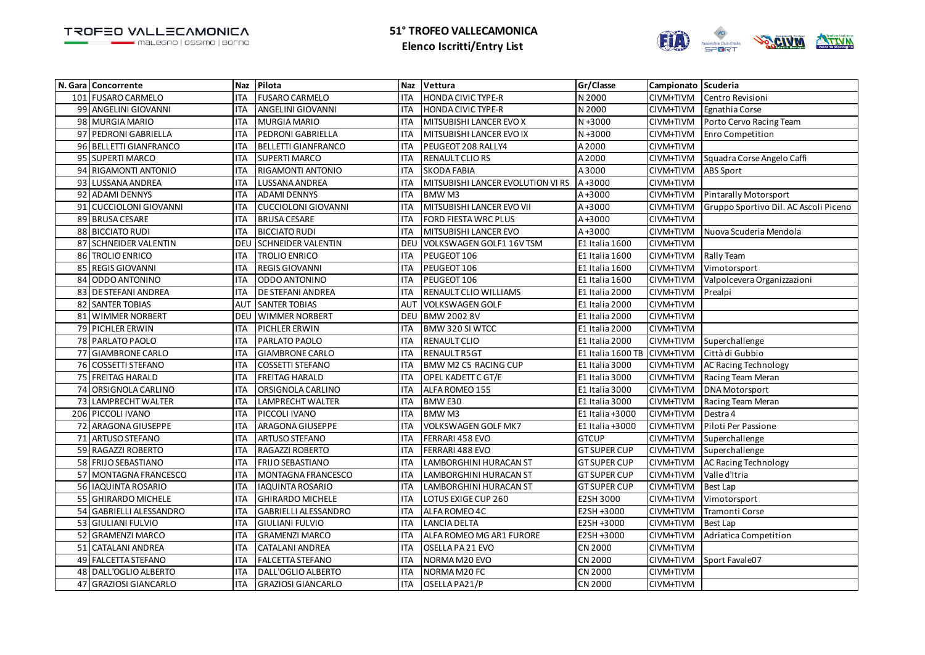

|     | N. Gara Concorrente         | <b>Naz</b>      | Pilota                      | <b>Naz</b> | Vettura                           | Gr/Classe           | Campionato Scuderia |                                       |
|-----|-----------------------------|-----------------|-----------------------------|------------|-----------------------------------|---------------------|---------------------|---------------------------------------|
|     | 101 FUSARO CARMELO          | <b>ITA</b>      | <b>FUSARO CARMELO</b>       | <b>ITA</b> | <b>HONDA CIVIC TYPE-R</b>         | N 2000              | CIVM+TIVM           | Centro Revisioni                      |
|     | 99 ANGELINI GIOVANNI        | <b>ITA</b>      | ANGELINI GIOVANNI           | <b>ITA</b> | <b>HONDA CIVIC TYPE-R</b>         | N 2000              | CIVM+TIVM           | Egnathia Corse                        |
|     | 98 MURGIA MARIO             | <b>ITA</b>      | MURGIA MARIO                | <b>ITA</b> | MITSUBISHI LANCER EVO X           | $N + 3000$          | CIVM+TIVM           | Porto Cervo Racing Team               |
|     | 97 PEDRONI GABRIELLA        | <b>ITA</b>      | PEDRONI GABRIELLA           | <b>ITA</b> | MITSUBISHI LANCER EVO IX          | $N + 3000$          | CIVM+TIVM           | <b>Enro Competition</b>               |
|     | 96 BELLETTI GIANFRANCO      | <b>ITA</b>      | <b>BELLETTI GIANFRANCO</b>  | <b>ITA</b> | PEUGEOT 208 RALLY4                | A 2000              | CIVM+TIVM           |                                       |
|     | 95 SUPERTI MARCO            | <b>ITA</b>      | <b>SUPERTI MARCO</b>        | <b>ITA</b> | RENAULT CLIORS                    | A2000               | CIVM+TIVM           | Squadra Corse Angelo Caffi            |
| 94  | <b>RIGAMONTI ANTONIO</b>    | <b>ITA</b>      | RIGAMONTI ANTONIO           | <b>ITA</b> | <b>SKODA FABIA</b>                | A3000               | CIVM+TIVM           | ABS Sport                             |
|     | 93 LUSSANA ANDREA           | <b>ITA</b>      | LUSSANA ANDREA              | <b>ITA</b> | MITSUBISHI LANCER EVOLUTION VI RS | $A + 3000$          | CIVM+TIVM           |                                       |
| 92  | <b>ADAMI DENNYS</b>         | <b>ITA</b>      | <b>ADAMI DENNYS</b>         | <b>ITA</b> | <b>BMWM3</b>                      | $A + 3000$          | CIVM+TIVM           | <b>Pintarally Motorsport</b>          |
| 91  | <b>CUCCIOLONI GIOVANNI</b>  | <b>ITA</b>      | <b>CUCCIOLONI GIOVANNI</b>  | <b>ITA</b> | MITSUBISHI LANCER EVO VII         | $A + 3000$          | CIVM+TIVM           | Gruppo Sportivo Dil. AC Ascoli Piceno |
|     | 89 BRUSA CESARE             | <b>ITA</b>      | <b>BRUSA CESARE</b>         | <b>ITA</b> | FORD FIESTA WRC PLUS              | $A + 3000$          | CIVM+TIVM           |                                       |
|     | 88 BICCIATO RUDI            | <b>ITA</b>      | <b>BICCIATO RUDI</b>        | <b>ITA</b> | MITSUBISHI LANCER EVO             | $A + 3000$          | CIVM+TIVM           | Nuova Scuderia Mendola                |
|     | 87 SCHNEIDER VALENTIN       | <b>DEL</b>      | <b>SCHNEIDER VALENTIN</b>   | <b>DEU</b> | VOLKSWAGEN GOLF1 16V TSM          | E1 Italia 1600      | CIVM+TIVM           |                                       |
| 86  | <b>TROLIO ENRICO</b>        | <b>ITA</b>      | <b>TROLIO ENRICO</b>        | <b>ITA</b> | PEUGEOT 106                       | E1 Italia 1600      | CIVM+TIVM           | Rally Team                            |
| 85  | <b>REGIS GIOVANNI</b>       | <b>ITA</b>      | <b>REGIS GIOVANNI</b>       | <b>ITA</b> | PEUGEOT 106                       | E1 Italia 1600      | CIVM+TIVM           | Vimotorsport                          |
| 84  | ODDO ANTONINO               | <b>ITA</b>      | ODDO ANTONINO               | <b>ITA</b> | PEUGEOT 106                       | E1 Italia 1600      | CIVM+TIVM           | Valpolcevera Organizzazioni           |
| 83  | <b>DE STEFANI ANDREA</b>    | <b>ITA</b>      | DE STEFANI ANDREA           | <b>ITA</b> | RENAULT CLIO WILLIAMS             | E1 Italia 2000      | CIVM+TIVM           | Prealpi                               |
|     | 82 SANTER TOBIAS            | AU <sub>1</sub> | <b>SANTER TOBIAS</b>        | <b>AUT</b> | <b>VOLKSWAGEN GOLF</b>            | E1 Italia 2000      | CIVM+TIVM           |                                       |
|     | 81 WIMMER NORBERT           | DEL             | <b>WIMMER NORBERT</b>       | DEU        | <b>BMW 2002 8V</b>                | E1 Italia 2000      | CIVM+TIVM           |                                       |
|     | 79 PICHLER ERWIN            | <b>ITA</b>      | PICHLER ERWIN               | <b>ITA</b> | BMW 320 SI WTCC                   | E1 Italia 2000      | CIVM+TIVM           |                                       |
|     | 78 PARLATO PAOLO            | <b>ITA</b>      | PARLATO PAOLO               | <b>ITA</b> | RENAULT CLIO                      | E1 Italia 2000      | CIVM+TIVM           | Superchallenge                        |
| 77  | <b>GIAMBRONE CARLO</b>      | <b>ITA</b>      | <b>GIAMBRONE CARLO</b>      | <b>ITA</b> | <b>RENAULT R5GT</b>               | E1 Italia 1600 TB   | CIVM+TIVM           | Città di Gubbio                       |
|     | 76 COSSETTI STEFANO         | <b>ITA</b>      | <b>COSSETTI STEFANO</b>     | <b>ITA</b> | <b>BMW M2 CS RACING CUP</b>       | E1 Italia 3000      | CIVM+TIVM           | <b>AC Racing Technology</b>           |
| 75  | <b>FREITAG HARALD</b>       | <b>ITA</b>      | <b>FREITAG HARALD</b>       | <b>ITA</b> | OPEL KADETT C GT/E                | E1 Italia 3000      | CIVM+TIVM           | Racing Team Meran                     |
| 74  | ORSIGNOLA CARLINO           | <b>ITA</b>      | ORSIGNOLA CARLINO           | <b>ITA</b> | ALFA ROMEO 155                    | E1 Italia 3000      | CIVM+TIVM           | <b>DNA</b> Motorsport                 |
| 73  | LAMPRECHT WALTER            | <b>ITA</b>      | LAMPRECHT WALTER            | <b>ITA</b> | BMW E30                           | E1 Italia 3000      | CIVM+TIVM           | Racing Team Meran                     |
| 206 | PICCOLI IVANO               | <b>ITA</b>      | PICCOLI IVANO               | <b>ITA</b> | <b>BMWM3</b>                      | E1 Italia +3000     | CIVM+TIVM           | Destra 4                              |
| 72  | <b>ARAGONA GIUSEPPE</b>     | <b>ITA</b>      | ARAGONA GIUSEPPE            | <b>ITA</b> | <b>VOLKSWAGEN GOLF MK7</b>        | E1 Italia +3000     | CIVM+TIVM           | Piloti Per Passione                   |
| 71  | <b>ARTUSO STEFANO</b>       | <b>ITA</b>      | ARTUSO STEFANO              | <b>ITA</b> | FERRARI 458 EVO                   | <b>GTCUP</b>        | CIVM+TIVM           | Superchallenge                        |
|     | 59 RAGAZZI ROBERTO          | <b>ITA</b>      | RAGAZZI ROBERTO             | <b>ITA</b> | FERRARI 488 EVO                   | <b>GT SUPER CUP</b> | CIVM+TIVM           | Superchallenge                        |
|     | 58 FRIJO SEBASTIANO         | <b>ITA</b>      | <b>FRIJO SEBASTIANO</b>     | <b>ITA</b> | LAMBORGHINI HURACAN ST            | <b>GT SUPER CUP</b> | CIVM+TIVM           | AC Racing Technology                  |
| 57  | MONTAGNA FRANCESCO          | <b>ITA</b>      | MONTAGNA FRANCESCO          | <b>ITA</b> | <b>LAMBORGHINI HURACAN ST</b>     | <b>GT SUPER CUP</b> | CIVM+TIVM           | Valle d'Itria                         |
|     | 56 IAQUINTA ROSARIO         | <b>ITA</b>      | <b>IAQUINTA ROSARIO</b>     | <b>ITA</b> | <b>LAMBORGHINI HURACAN ST</b>     | <b>GT SUPER CUP</b> | CIVM+TIVM           | <b>Best Lap</b>                       |
|     | 55 GHIRARDO MICHELE         | <b>ITA</b>      | <b>GHIRARDO MICHELE</b>     | <b>ITA</b> | LOTUS EXIGE CUP 260               | E2SH 3000           | CIVM+TIVM           | Vimotorsport                          |
| 54  | <b>GABRIELLI ALESSANDRO</b> | <b>ITA</b>      | <b>GABRIELLI ALESSANDRO</b> | <b>ITA</b> | ALFA ROMEO 4C                     | E2SH +3000          | CIVM+TIVM           | Tramonti Corse                        |
|     | 53 GIULIANI FULVIO          | <b>ITA</b>      | <b>GIULIANI FULVIO</b>      | <b>ITA</b> | <b>LANCIA DELTA</b>               | E2SH +3000          | CIVM+TIVM           | <b>Best Lap</b>                       |
| 52  | <b>GRAMENZI MARCO</b>       | <b>ITA</b>      | <b>GRAMENZI MARCO</b>       | <b>ITA</b> | ALFA ROMEO MG AR1 FURORE          | E2SH +3000          | CIVM+TIVM           | Adriatica Competition                 |
| 51  | <b>CATALANI ANDREA</b>      | <b>ITA</b>      | <b>CATALANI ANDREA</b>      | <b>ITA</b> | OSELLA PA 21 EVO                  | CN 2000             | CIVM+TIVM           |                                       |
|     | 49 FALCETTA STEFANO         | <b>ITA</b>      | <b>FALCETTA STEFANO</b>     | <b>ITA</b> | NORMA M20 EVO                     | CN 2000             | CIVM+TIVM           | Sport Favale07                        |
| 48  | DALL'OGLIO ALBERTO          | <b>ITA</b>      | DALL'OGLIO ALBERTO          | <b>ITA</b> | NORMA M20 FC                      | CN 2000             | CIVM+TIVM           |                                       |
|     | 47 GRAZIOSI GIANCARLO       | <b>ITA</b>      | <b>GRAZIOSI GIANCARLO</b>   | <b>ITA</b> | OSELLA PA21/P                     | <b>CN 2000</b>      | CIVM+TIVM           |                                       |